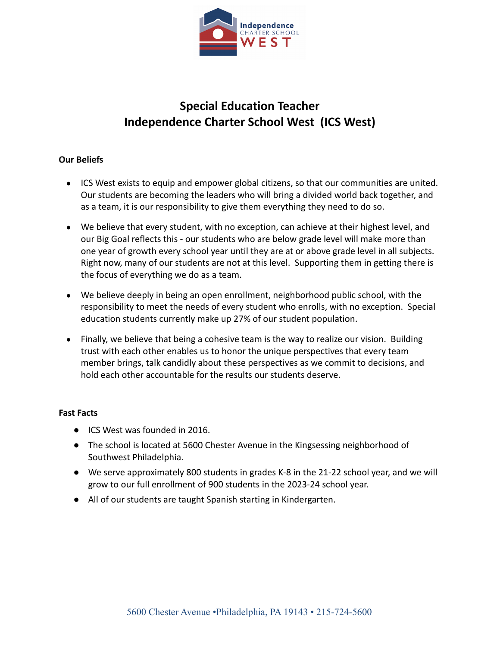

# **Special Education Teacher Independence Charter School West (ICS West)**

## **Our Beliefs**

- ICS West exists to equip and empower global citizens, so that our communities are united. Our students are becoming the leaders who will bring a divided world back together, and as a team, it is our responsibility to give them everything they need to do so.
- We believe that every student, with no exception, can achieve at their highest level, and our Big Goal reflects this - our students who are below grade level will make more than one year of growth every school year until they are at or above grade level in all subjects. Right now, many of our students are not at this level. Supporting them in getting there is the focus of everything we do as a team.
- We believe deeply in being an open enrollment, neighborhood public school, with the responsibility to meet the needs of every student who enrolls, with no exception. Special education students currently make up 27% of our student population.
- Finally, we believe that being a cohesive team is the way to realize our vision. Building trust with each other enables us to honor the unique perspectives that every team member brings, talk candidly about these perspectives as we commit to decisions, and hold each other accountable for the results our students deserve.

## **Fast Facts**

- ICS West was founded in 2016.
- The school is located at 5600 Chester Avenue in the Kingsessing neighborhood of Southwest Philadelphia.
- We serve approximately 800 students in grades K-8 in the 21-22 school year, and we will grow to our full enrollment of 900 students in the 2023-24 school year.
- All of our students are taught Spanish starting in Kindergarten.